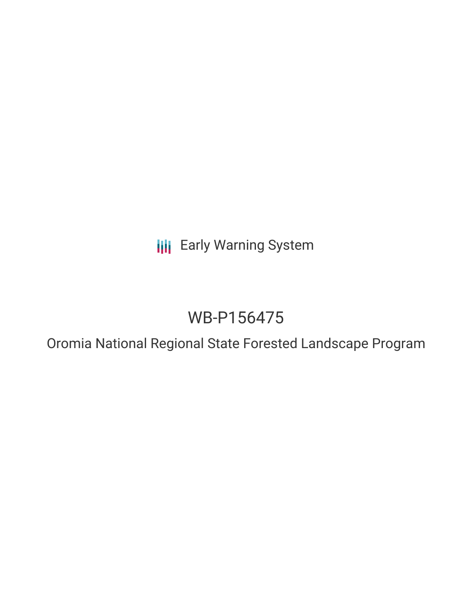**III** Early Warning System

# WB-P156475

Oromia National Regional State Forested Landscape Program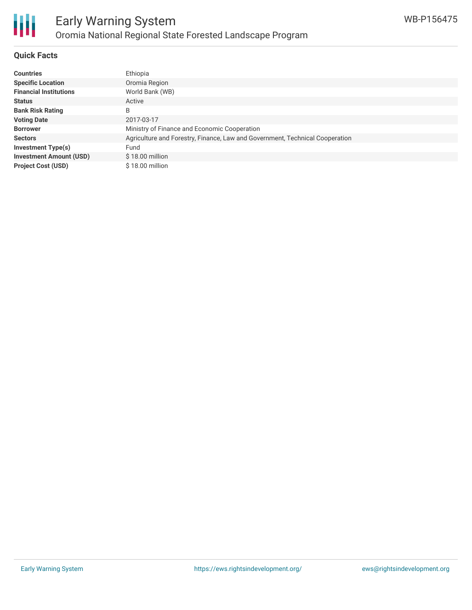

#### **Quick Facts**

| <b>Countries</b>               | Ethiopia                                                                     |
|--------------------------------|------------------------------------------------------------------------------|
| <b>Specific Location</b>       | Oromia Region                                                                |
| <b>Financial Institutions</b>  | World Bank (WB)                                                              |
| <b>Status</b>                  | Active                                                                       |
| <b>Bank Risk Rating</b>        | B                                                                            |
| <b>Voting Date</b>             | 2017-03-17                                                                   |
| <b>Borrower</b>                | Ministry of Finance and Economic Cooperation                                 |
| <b>Sectors</b>                 | Agriculture and Forestry, Finance, Law and Government, Technical Cooperation |
| Investment Type(s)             | Fund                                                                         |
| <b>Investment Amount (USD)</b> | $$18.00$ million                                                             |
| <b>Project Cost (USD)</b>      | $$18.00$ million                                                             |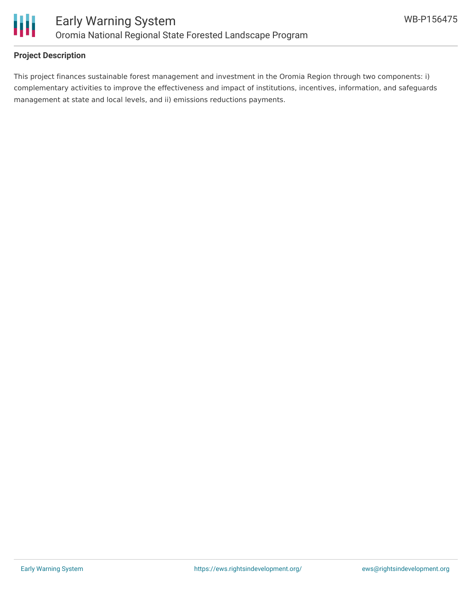

### **Project Description**

This project finances sustainable forest management and investment in the Oromia Region through two components: i) complementary activities to improve the effectiveness and impact of institutions, incentives, information, and safeguards management at state and local levels, and ii) emissions reductions payments.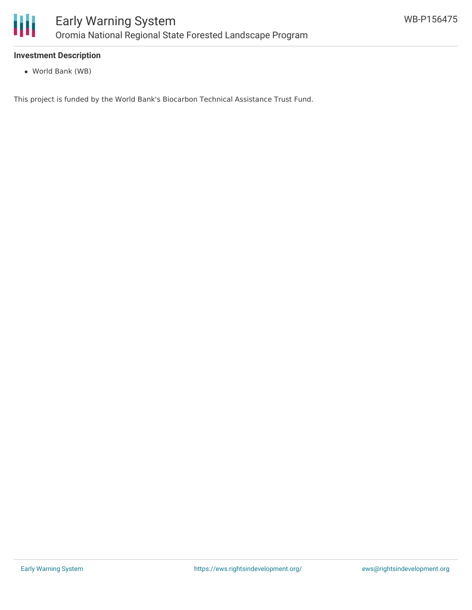

#### **Investment Description**

World Bank (WB)

This project is funded by the World Bank's Biocarbon Technical Assistance Trust Fund.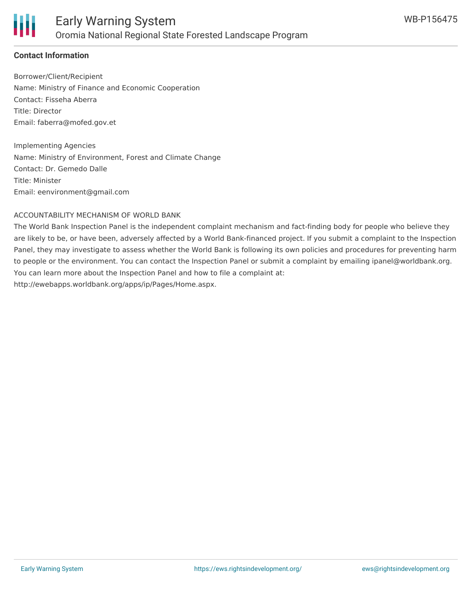

## **Contact Information**

Borrower/Client/Recipient Name: Ministry of Finance and Economic Cooperation Contact: Fisseha Aberra Title: Director Email: faberra@mofed.gov.et

Implementing Agencies Name: Ministry of Environment, Forest and Climate Change Contact: Dr. Gemedo Dalle Title: Minister Email: eenvironment@gmail.com

#### ACCOUNTABILITY MECHANISM OF WORLD BANK

The World Bank Inspection Panel is the independent complaint mechanism and fact-finding body for people who believe they are likely to be, or have been, adversely affected by a World Bank-financed project. If you submit a complaint to the Inspection Panel, they may investigate to assess whether the World Bank is following its own policies and procedures for preventing harm to people or the environment. You can contact the Inspection Panel or submit a complaint by emailing ipanel@worldbank.org. You can learn more about the Inspection Panel and how to file a complaint at: http://ewebapps.worldbank.org/apps/ip/Pages/Home.aspx.